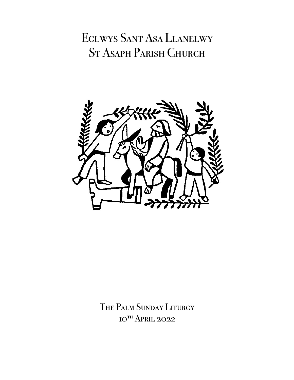# Eglwys Sant Asa Llanelwy St Asaph Parish Church



The Palm Sunday Liturgy  $10^{\text{th}}$  April 2022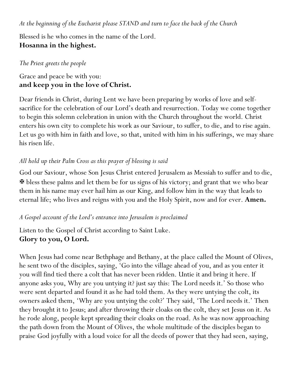*At the beginning of the Eucharist please STAND and turn to face the back of the Church*

Blessed is he who comes in the name of the Lord. **Hosanna in the highest.**

#### *The Priest greets the people*

# Grace and peace be with you: **and keep you in the love of Christ.**

Dear friends in Christ, during Lent we have been preparing by works of love and selfsacrifice for the celebration of our Lord's death and resurrection. Today we come together to begin this solemn celebration in union with the Church throughout the world. Christ enters his own city to complete his work as our Saviour, to suffer, to die, and to rise again. Let us go with him in faith and love, so that, united with him in his sufferings, we may share his risen life.

#### *All hold up their Palm Cross as this prayer of blessing is said*

God our Saviour, whose Son Jesus Christ entered Jerusalem as Messiah to suffer and to die,  $\mathbf{\mathbf{\Phi}}$  bless these palms and let them be for us signs of his victory; and grant that we who bear them in his name may ever hail him as our King, and follow him in the way that leads to eternal life; who lives and reigns with you and the Holy Spirit, now and for ever. **Amen.**

#### *A Gospel account of the Lord's entrance into Jerusalem is proclaimed*

Listen to the Gospel of Christ according to Saint Luke. **Glory to you, O Lord.**

When Jesus had come near Bethphage and Bethany, at the place called the Mount of Olives, he sent two of the disciples, saying, 'Go into the village ahead of you, and as you enter it you will find tied there a colt that has never been ridden. Untie it and bring it here. If anyone asks you, Why are you untying it? just say this: The Lord needs it.' So those who were sent departed and found it as he had told them. As they were untying the colt, its owners asked them, 'Why are you untying the colt?' They said, 'The Lord needs it.' Then they brought it to Jesus; and after throwing their cloaks on the colt, they set Jesus on it. As he rode along, people kept spreading their cloaks on the road. As he was now approaching the path down from the Mount of Olives, the whole multitude of the disciples began to praise God joyfully with a loud voice for all the deeds of power that they had seen, saying,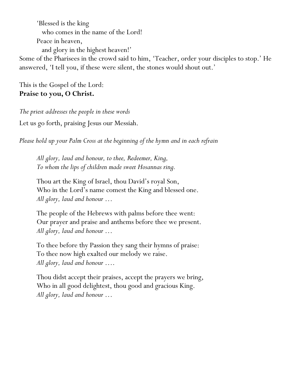'Blessed is the king who comes in the name of the Lord! Peace in heaven, and glory in the highest heaven!'

Some of the Pharisees in the crowd said to him, 'Teacher, order your disciples to stop.' He answered, 'I tell you, if these were silent, the stones would shout out.'

This is the Gospel of the Lord: **Praise to you, O Christ.**

*The priest addresses the people in these words* Let us go forth, praising Jesus our Messiah.

*Please hold up your Palm Cross at the beginning of the hymn and in each refrain*

*All glory, laud and honour, to thee, Redeemer, King, To whom the lips of children made sweet Hosannas ring.*

Thou art the King of Israel, thou David's royal Son, Who in the Lord's name comest the King and blessed one. *All glory, laud and honour …*

The people of the Hebrews with palms before thee went: Our prayer and praise and anthems before thee we present. *All glory, laud and honour …*

To thee before thy Passion they sang their hymns of praise: To thee now high exalted our melody we raise. *All glory, laud and honour …*.

Thou didst accept their praises, accept the prayers we bring, Who in all good delightest, thou good and gracious King. *All glory, laud and honour …*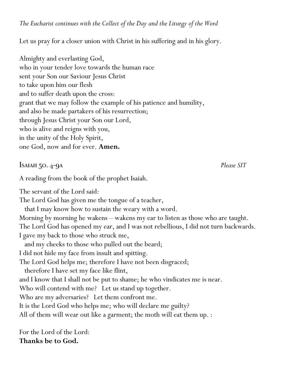#### *The Eucharist continues with the Collect of the Day and the Liturgy of the Word*

Let us pray for a closer union with Christ in his suffering and in his glory.

Almighty and everlasting God, who in your tender love towards the human race sent your Son our Saviour Jesus Christ to take upon him our flesh and to suffer death upon the cross: grant that we may follow the example of his patience and humility, and also be made partakers of his resurrection; through Jesus Christ your Son our Lord, who is alive and reigns with you, in the unity of the Holy Spirit, one God, now and for ever. **Amen.**

Isaiah 50. 4-9a *Please SIT*

A reading from the book of the prophet Isaiah.

The servant of the Lord said:

The Lord God has given me the tongue of a teacher,

that I may know how to sustain the weary with a word.

Morning by morning he wakens – wakens my ear to listen as those who are taught. The Lord God has opened my ear, and I was not rebellious, I did not turn backwards.

- I gave my back to those who struck me, and my cheeks to those who pulled out the beard;
- I did not hide my face from insult and spitting.

The Lord God helps me; therefore I have not been disgraced;

therefore I have set my face like flint,

and I know that I shall not be put to shame; he who vindicates me is near.

Who will contend with me? Let us stand up together.

Who are my adversaries? Let them confront me.

It is the Lord God who helps me; who will declare me guilty?

All of them will wear out like a garment; the moth will eat them up. :

For the Lord of the Lord: **Thanks be to God.**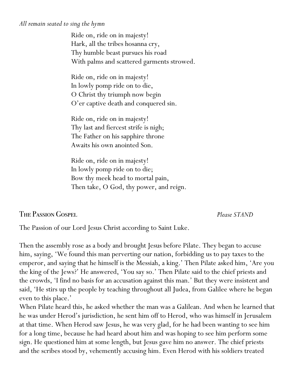#### *All remain seated to sing the hymn*

Ride on, ride on in majesty! Hark, all the tribes hosanna cry, Thy humble beast pursues his road With palms and scattered garments strowed.

Ride on, ride on in majesty! In lowly pomp ride on to die, O Christ thy triumph now begin O'er captive death and conquered sin.

Ride on, ride on in majesty! Thy last and fiercest strife is nigh; The Father on his sapphire throne Awaits his own anointed Son.

Ride on, ride on in majesty! In lowly pomp ride on to die; Bow thy meek head to mortal pain, Then take, O God, thy power, and reign.

The Passion Gospel *Please STAND*

The Passion of our Lord Jesus Christ according to Saint Luke.

Then the assembly rose as a body and brought Jesus before Pilate. They began to accuse him, saying, 'We found this man perverting our nation, forbidding us to pay taxes to the emperor, and saying that he himself is the Messiah, a king.' Then Pilate asked him, 'Are you the king of the Jews?' He answered, 'You say so.' Then Pilate said to the chief priests and the crowds, 'I find no basis for an accusation against this man.' But they were insistent and said, 'He stirs up the people by teaching throughout all Judea, from Galilee where he began even to this place.'

When Pilate heard this, he asked whether the man was a Galilean. And when he learned that he was under Herod's jurisdiction, he sent him off to Herod, who was himself in Jerusalem at that time. When Herod saw Jesus, he was very glad, for he had been wanting to see him for a long time, because he had heard about him and was hoping to see him perform some sign. He questioned him at some length, but Jesus gave him no answer. The chief priests and the scribes stood by, vehemently accusing him. Even Herod with his soldiers treated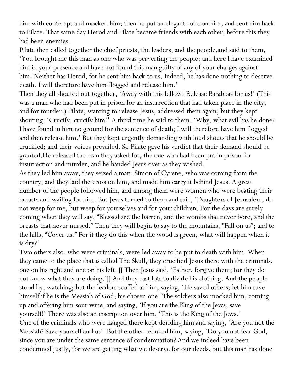him with contempt and mocked him; then he put an elegant robe on him, and sent him back to Pilate. That same day Herod and Pilate became friends with each other; before this they had been enemies.

Pilate then called together the chief priests, the leaders, and the people,and said to them, 'You brought me this man as one who was perverting the people; and here I have examined him in your presence and have not found this man guilty of any of your charges against him. Neither has Herod, for he sent him back to us. Indeed, he has done nothing to deserve death. I will therefore have him flogged and release him.'

Then they all shouted out together, 'Away with this fellow! Release Barabbas for us!' (This was a man who had been put in prison for an insurrection that had taken place in the city, and for murder.) Pilate, wanting to release Jesus, addressed them again; but they kept shouting, 'Crucify, crucify him!' A third time he said to them, 'Why, what evil has he done? I have found in him no ground for the sentence of death; I will therefore have him flogged and then release him.' But they kept urgently demanding with loud shouts that he should be crucified; and their voices prevailed. So Pilate gave his verdict that their demand should be granted.He released the man they asked for, the one who had been put in prison for insurrection and murder, and he handed Jesus over as they wished.

As they led him away, they seized a man, Simon of Cyrene, who was coming from the country, and they laid the cross on him, and made him carry it behind Jesus. A great number of the people followed him, and among them were women who were beating their breasts and wailing for him. But Jesus turned to them and said, 'Daughters of Jerusalem, do not weep for me, but weep for yourselves and for your children. For the days are surely coming when they will say, "Blessed are the barren, and the wombs that never bore, and the breasts that never nursed." Then they will begin to say to the mountains, "Fall on us"; and to the hills, "Cover us." For if they do this when the wood is green, what will happen when it is dry?'

Two others also, who were criminals, were led away to be put to death with him. When they came to the place that is called The Skull, they crucified Jesus there with the criminals, one on his right and one on his left. [[ Then Jesus said, 'Father, forgive them; for they do not know what they are doing.']] And they cast lots to divide his clothing. And the people stood by, watching; but the leaders scoffed at him, saying, 'He saved others; let him save himself if he is the Messiah of God, his chosen one!'The soldiers also mocked him, coming up and offering him sour wine, and saying, 'If you are the King of the Jews, save yourself!' There was also an inscription over him, 'This is the King of the Jews.' One of the criminals who were hanged there kept deriding him and saying, 'Are you not the Messiah? Save yourself and us!' But the other rebuked him, saying, 'Do you not fear God, since you are under the same sentence of condemnation? And we indeed have been condemned justly, for we are getting what we deserve for our deeds, but this man has done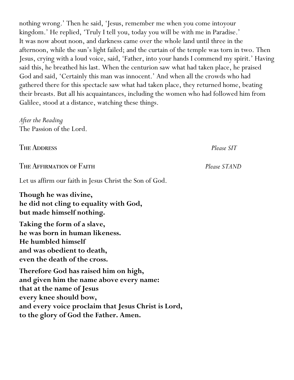nothing wrong.' Then he said, 'Jesus, remember me when you come intoyour kingdom.' He replied, 'Truly I tell you, today you will be with me in Paradise.' It was now about noon, and darkness came over the whole land until three in the afternoon, while the sun's light failed; and the curtain of the temple was torn in two. Then Jesus, crying with a loud voice, said, 'Father, into your hands I commend my spirit.' Having said this, he breathed his last. When the centurion saw what had taken place, he praised God and said, 'Certainly this man was innocent.' And when all the crowds who had gathered there for this spectacle saw what had taken place, they returned home, beating their breasts. But all his acquaintances, including the women who had followed him from Galilee, stood at a distance, watching these things.

*After the Reading* The Passion of the Lord.

THE ADDRESS *Please SIT* 

THE AFFIRMATION OF FAITH *Please STAND* 

Let us affirm our faith in Jesus Christ the Son of God.

**Though he was divine, he did not cling to equality with God, but made himself nothing. Taking the form of a slave, he was born in human likeness. He humbled himself and was obedient to death,**

**even the death of the cross.**

**Therefore God has raised him on high, and given him the name above every name: that at the name of Jesus every knee should bow, and every voice proclaim that Jesus Christ is Lord, to the glory of God the Father. Amen.**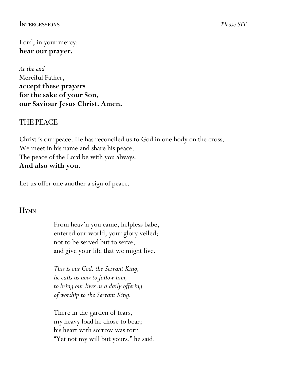Lord, in your mercy: **hear our prayer.**

*At the end* Merciful Father, **accept these prayers for the sake of your Son, our Saviour Jesus Christ. Amen.**

# THE PEACE

Christ is our peace. He has reconciled us to God in one body on the cross. We meet in his name and share his peace. The peace of the Lord be with you always. **And also with you.**

Let us offer one another a sign of peace.

# **H**YMN

From heav'n you came, helpless babe, entered our world, your glory veiled; not to be served but to serve, and give your life that we might live.

*This is our God, the Servant King, he calls us now to follow him, to bring our lives as a daily offering of worship to the Servant King.*

There in the garden of tears, my heavy load he chose to bear; his heart with sorrow was torn. "Yet not my will but yours," he said.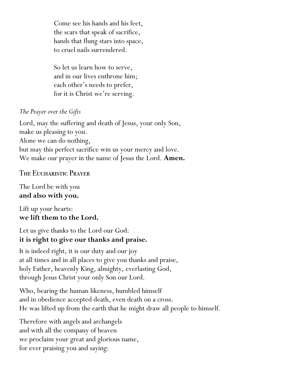Come see his hands and his feet, the scars that speak of sacrifice, hands that flung stars into space, to cruel nails surrendered.

So let us learn how to serve, and in our lives enthrone him; each other's needs to prefer, for it is Christ we're serving.

# *The Prayer over the Gifts*

Lord, may the suffering and death of Jesus, your only Son, make us pleasing to you. Alone we can do nothing, but may this perfect sacrifice win us your mercy and love. We make our prayer in the name of Jesus the Lord. **Amen.**

# THE EUCHARISTIC PRAYER

The Lord be with you **and also with you.**

Lift up your hearts: **we lift them to the Lord.**

# Let us give thanks to the Lord our God: **it is right to give our thanks and praise.**

It is indeed right, it is our duty and our joy at all times and in all places to give you thanks and praise, holy Father, heavenly King, almighty, everlasting God, through Jesus Christ your only Son our Lord.

Who, bearing the human likeness, humbled himself and in obedience accepted death, even death on a cross. He was lifted up from the earth that he might draw all people to himself.

Therefore with angels and archangels and with all the company of heaven we proclaim your great and glorious name, for ever praising you and saying: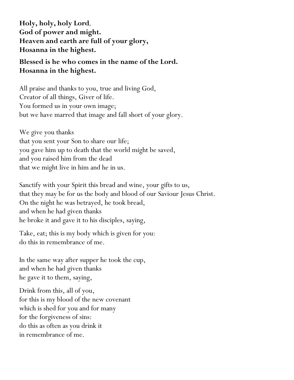**Holy, holy, holy Lord***,*  **God of power and might. Heaven and earth are full of your glory, Hosanna in the highest.**

#### **Blessed is he who comes in the name of the Lord. Hosanna in the highest.**

All praise and thanks to you, true and living God, Creator of all things, Giver of life. You formed us in your own image; but we have marred that image and fall short of your glory.

We give you thanks that you sent your Son to share our life; you gave him up to death that the world might be saved, and you raised him from the dead that we might live in him and he in us.

Sanctify with your Spirit this bread and wine, your gifts to us, that they may be for us the body and blood of our Saviour Jesus Christ. On the night he was betrayed, he took bread, and when he had given thanks he broke it and gave it to his disciples, saying,

Take, eat; this is my body which is given for you: do this in remembrance of me.

In the same way after supper he took the cup, and when he had given thanks he gave it to them, saying,

Drink from this, all of you, for this is my blood of the new covenant which is shed for you and for many for the forgiveness of sins: do this as often as you drink it in remembrance of me.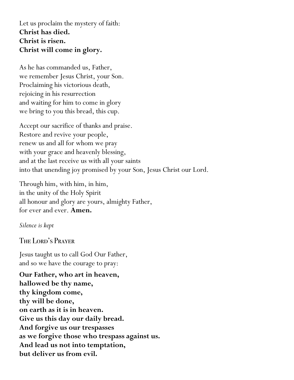Let us proclaim the mystery of faith: **Christ has died. Christ is risen. Christ will come in glory.**

As he has commanded us, Father, we remember Jesus Christ, your Son. Proclaiming his victorious death, rejoicing in his resurrection and waiting for him to come in glory we bring to you this bread, this cup.

Accept our sacrifice of thanks and praise. Restore and revive your people, renew us and all for whom we pray with your grace and heavenly blessing, and at the last receive us with all your saints into that unending joy promised by your Son, Jesus Christ our Lord.

Through him, with him, in him, in the unity of the Holy Spirit all honour and glory are yours, almighty Father, for ever and ever. **Amen.**

*Silence is kept*

The Lord's Prayer

Jesus taught us to call God Our Father, and so we have the courage to pray:

**Our Father, who art in heaven, hallowed be thy name, thy kingdom come, thy will be done, on earth as it is in heaven. Give us this day our daily bread. And forgive us our trespasses as we forgive those who trespass against us. And lead us not into temptation, but deliver us from evil.**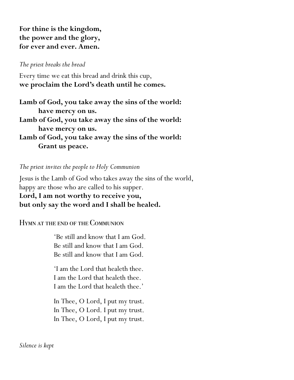### **For thine is the kingdom, the power and the glory, for ever and ever. Amen.**

#### *The priest breaks the bread*

Every time we eat this bread and drink this cup, **we proclaim the Lord's death until he comes.**

**Lamb of God, you take away the sins of the world: have mercy on us. Lamb of God, you take away the sins of the world: have mercy on us. Lamb of God, you take away the sins of the world: Grant us peace.**

*The priest invites the people to Holy Communion*

Jesus is the Lamb of God who takes away the sins of the world, happy are those who are called to his supper. **Lord, I am not worthy to receive you, but only say the word and I shall be healed.**

Hymn at the end of the Communion

'Be still and know that I am God. Be still and know that I am God. Be still and know that I am God.

'I am the Lord that healeth thee. I am the Lord that healeth thee. I am the Lord that healeth thee.'

In Thee, O Lord, I put my trust. In Thee, O Lord. I put my trust. In Thee, O Lord, I put my trust.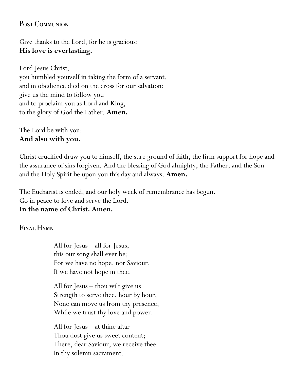## Post Communion

Give thanks to the Lord, for he is gracious: **His love is everlasting.**

Lord Jesus Christ, you humbled yourself in taking the form of a servant, and in obedience died on the cross for our salvation: give us the mind to follow you and to proclaim you as Lord and King, to the glory of God the Father. **Amen.**

The Lord be with you: **And also with you.**

Christ crucified draw you to himself, the sure ground of faith, the firm support for hope and the assurance of sins forgiven. And the blessing of God almighty, the Father, and the Son and the Holy Spirit be upon you this day and always. **Amen.**

The Eucharist is ended, and our holy week of remembrance has begun. Go in peace to love and serve the Lord.

**In the name of Christ. Amen.**

Final Hymn

All for Jesus – all for Jesus, this our song shall ever be; For we have no hope, nor Saviour, If we have not hope in thee.

All for Jesus – thou wilt give us Strength to serve thee, hour by hour, None can move us from thy presence, While we trust thy love and power.

All for Jesus – at thine altar Thou dost give us sweet content; There, dear Saviour, we receive thee In thy solemn sacrament.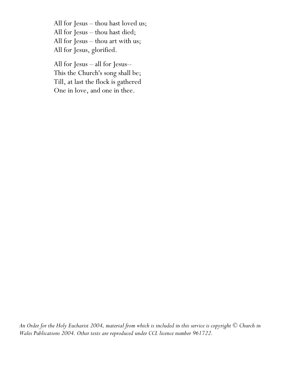All for Jesus – thou hast loved us; All for Jesus – thou hast died; All for Jesus – thou art with us; All for Jesus, glorified.

All for Jesus – all for Jesus-- This the Church's song shall be; Till, at last the flock is gathered One in love, and one in thee.

*An Order for the Holy Eucharist 2004, material from which is included in this service is copyright © Church in Wales Publications 2004. Other texts are reproduced under CCL licence number 961722.*